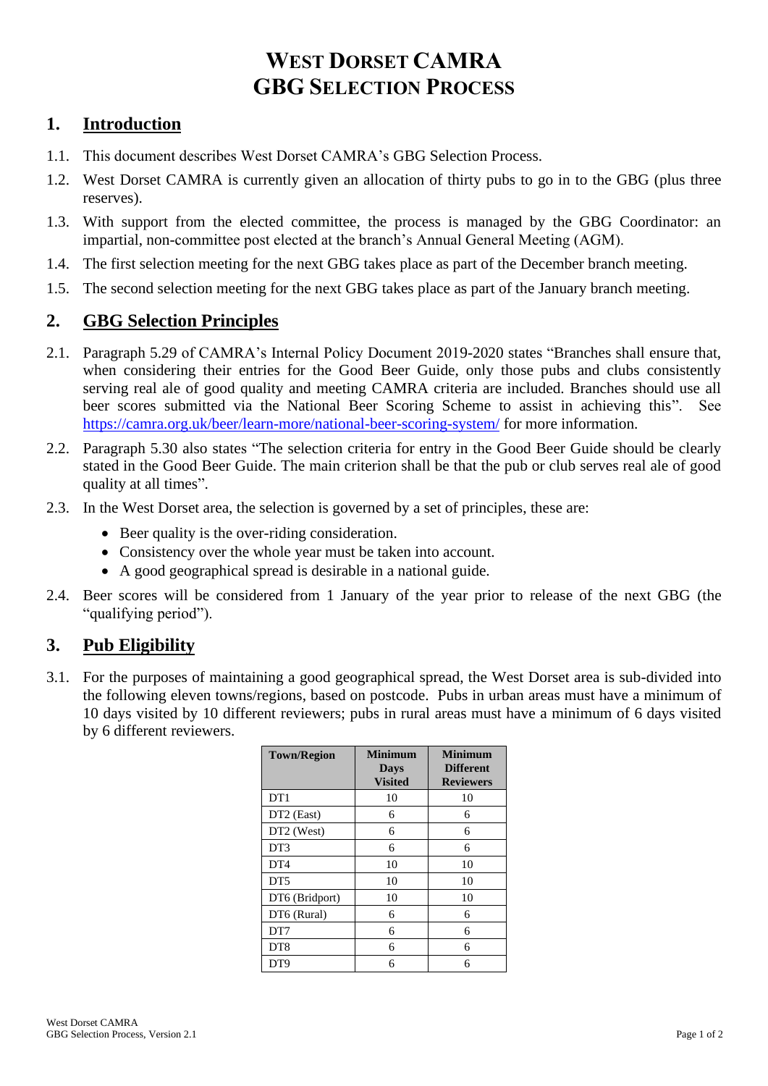# **WEST DORSET CAMRA GBG SELECTION PROCESS**

## **1. Introduction**

- 1.1. This document describes West Dorset CAMRA's GBG Selection Process.
- 1.2. West Dorset CAMRA is currently given an allocation of thirty pubs to go in to the GBG (plus three reserves).
- 1.3. With support from the elected committee, the process is managed by the GBG Coordinator: an impartial, non-committee post elected at the branch's Annual General Meeting (AGM).
- 1.4. The first selection meeting for the next GBG takes place as part of the December branch meeting.
- 1.5. The second selection meeting for the next GBG takes place as part of the January branch meeting.

#### **2. GBG Selection Principles**

- 2.1. Paragraph 5.29 of CAMRA's Internal Policy Document 2019-2020 states "Branches shall ensure that, when considering their entries for the Good Beer Guide, only those pubs and clubs consistently serving real ale of good quality and meeting CAMRA criteria are included. Branches should use all beer scores submitted via the National Beer Scoring Scheme to assist in achieving this". See <https://camra.org.uk/beer/learn-more/national-beer-scoring-system/> for more information.
- 2.2. Paragraph 5.30 also states "The selection criteria for entry in the Good Beer Guide should be clearly stated in the Good Beer Guide. The main criterion shall be that the pub or club serves real ale of good quality at all times".
- 2.3. In the West Dorset area, the selection is governed by a set of principles, these are:
	- Beer quality is the over-riding consideration.
	- Consistency over the whole year must be taken into account.
	- A good geographical spread is desirable in a national guide.
- 2.4. Beer scores will be considered from 1 January of the year prior to release of the next GBG (the "qualifying period").

#### **3. Pub Eligibility**

3.1. For the purposes of maintaining a good geographical spread, the West Dorset area is sub-divided into the following eleven towns/regions, based on postcode. Pubs in urban areas must have a minimum of 10 days visited by 10 different reviewers; pubs in rural areas must have a minimum of 6 days visited by 6 different reviewers.

| <b>Town/Region</b>     | Minimum<br><b>Days</b><br><b>Visited</b> | <b>Minimum</b><br><b>Different</b><br><b>Reviewers</b> |
|------------------------|------------------------------------------|--------------------------------------------------------|
| DT <sub>1</sub>        | 10                                       | 10                                                     |
| DT <sub>2</sub> (East) | 6                                        | 6                                                      |
| DT2 (West)             | 6                                        | 6                                                      |
| DT3                    | 6                                        | 6                                                      |
| DT <sub>4</sub>        | 10                                       | 10                                                     |
| DT <sub>5</sub>        | 10                                       | 10                                                     |
| DT6 (Bridport)         | 10                                       | 10                                                     |
| DT6 (Rural)            | 6                                        | 6                                                      |
| DT7                    | 6                                        | 6                                                      |
| DT <sub>8</sub>        | 6                                        | 6                                                      |
| DT <sub>9</sub>        | 6                                        | 6                                                      |